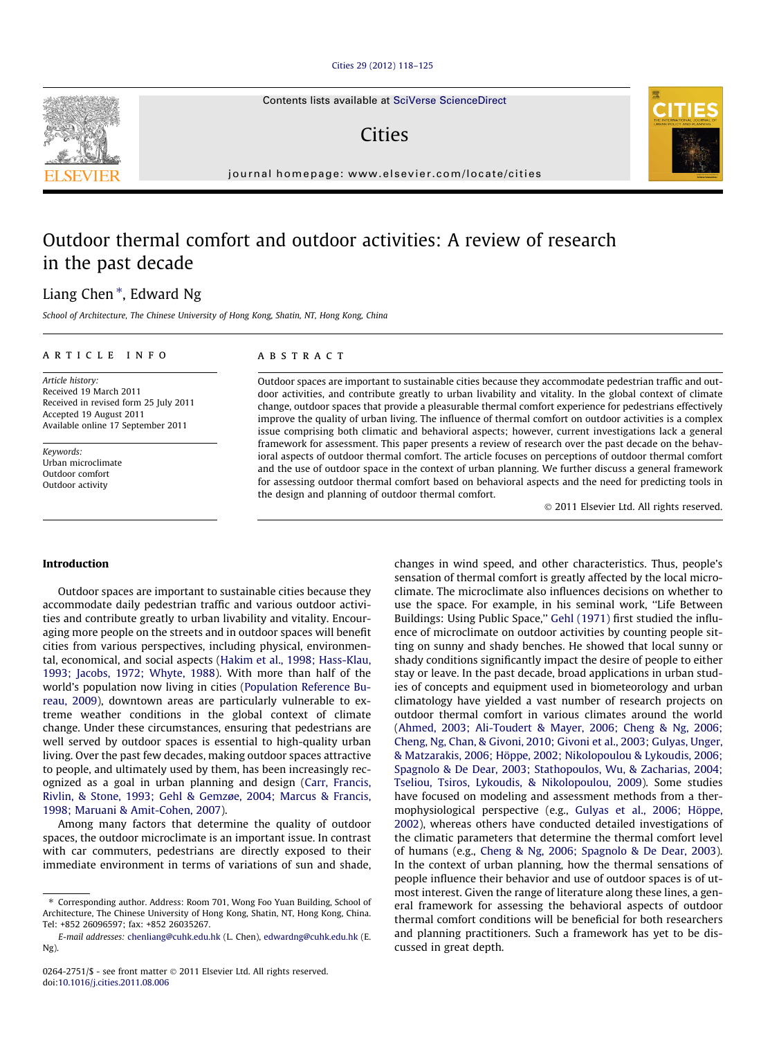#### [Cities 29 \(2012\) 118–125](http://dx.doi.org/10.1016/j.cities.2011.08.006)

Contents lists available at [SciVerse ScienceDirect](http://www.sciencedirect.com/science/journal/02642751)

## Cities

journal homepage: [www.elsevier.com/locate/cities](http://www.elsevier.com/locate/cities)

## Outdoor thermal comfort and outdoor activities: A review of research in the past decade

### Liang Chen<sup>\*</sup>, Edward Ng

School of Architecture, The Chinese University of Hong Kong, Shatin, NT, Hong Kong, China

#### article info

Article history: Received 19 March 2011 Received in revised form 25 July 2011 Accepted 19 August 2011 Available online 17 September 2011

Keywords: Urban microclimate Outdoor comfort Outdoor activity

#### **ABSTRACT**

Outdoor spaces are important to sustainable cities because they accommodate pedestrian traffic and outdoor activities, and contribute greatly to urban livability and vitality. In the global context of climate change, outdoor spaces that provide a pleasurable thermal comfort experience for pedestrians effectively improve the quality of urban living. The influence of thermal comfort on outdoor activities is a complex issue comprising both climatic and behavioral aspects; however, current investigations lack a general framework for assessment. This paper presents a review of research over the past decade on the behavioral aspects of outdoor thermal comfort. The article focuses on perceptions of outdoor thermal comfort and the use of outdoor space in the context of urban planning. We further discuss a general framework for assessing outdoor thermal comfort based on behavioral aspects and the need for predicting tools in the design and planning of outdoor thermal comfort.

- 2011 Elsevier Ltd. All rights reserved.

#### Introduction

Outdoor spaces are important to sustainable cities because they accommodate daily pedestrian traffic and various outdoor activities and contribute greatly to urban livability and vitality. Encouraging more people on the streets and in outdoor spaces will benefit cities from various perspectives, including physical, environmental, economical, and social aspects ([Hakim et al., 1998; Hass-Klau,](#page--1-0) [1993; Jacobs, 1972; Whyte, 1988\)](#page--1-0). With more than half of the world's population now living in cities [\(Population Reference Bu](#page--1-0)[reau, 2009](#page--1-0)), downtown areas are particularly vulnerable to extreme weather conditions in the global context of climate change. Under these circumstances, ensuring that pedestrians are well served by outdoor spaces is essential to high-quality urban living. Over the past few decades, making outdoor spaces attractive to people, and ultimately used by them, has been increasingly recognized as a goal in urban planning and design [\(Carr, Francis,](#page--1-0) [Rivlin, & Stone, 1993; Gehl & Gemzøe, 2004; Marcus & Francis,](#page--1-0) [1998; Maruani & Amit-Cohen, 2007](#page--1-0)).

Among many factors that determine the quality of outdoor spaces, the outdoor microclimate is an important issue. In contrast with car commuters, pedestrians are directly exposed to their immediate environment in terms of variations of sun and shade,

changes in wind speed, and other characteristics. Thus, people's sensation of thermal comfort is greatly affected by the local microclimate. The microclimate also influences decisions on whether to use the space. For example, in his seminal work, ''Life Between Buildings: Using Public Space," [Gehl \(1971\)](#page--1-0) first studied the influence of microclimate on outdoor activities by counting people sitting on sunny and shady benches. He showed that local sunny or shady conditions significantly impact the desire of people to either stay or leave. In the past decade, broad applications in urban studies of concepts and equipment used in biometeorology and urban climatology have yielded a vast number of research projects on outdoor thermal comfort in various climates around the world ([Ahmed, 2003; Ali-Toudert & Mayer, 2006; Cheng & Ng, 2006;](#page--1-0) [Cheng, Ng, Chan, & Givoni, 2010; Givoni et al., 2003; Gulyas, Unger,](#page--1-0) [& Matzarakis, 2006; Höppe, 2002; Nikolopoulou & Lykoudis, 2006;](#page--1-0) [Spagnolo & De Dear, 2003; Stathopoulos, Wu, & Zacharias, 2004;](#page--1-0) [Tseliou, Tsiros, Lykoudis, & Nikolopoulou, 2009\)](#page--1-0). Some studies have focused on modeling and assessment methods from a thermophysiological perspective (e.g., [Gulyas et al., 2006; Höppe,](#page--1-0) [2002\)](#page--1-0), whereas others have conducted detailed investigations of the climatic parameters that determine the thermal comfort level of humans (e.g., [Cheng & Ng, 2006; Spagnolo & De Dear, 2003\)](#page--1-0). In the context of urban planning, how the thermal sensations of people influence their behavior and use of outdoor spaces is of utmost interest. Given the range of literature along these lines, a general framework for assessing the behavioral aspects of outdoor thermal comfort conditions will be beneficial for both researchers and planning practitioners. Such a framework has yet to be discussed in great depth.





<sup>⇑</sup> Corresponding author. Address: Room 701, Wong Foo Yuan Building, School of Architecture, The Chinese University of Hong Kong, Shatin, NT, Hong Kong, China. Tel: +852 26096597; fax: +852 26035267.

E-mail addresses: [chenliang@cuhk.edu.hk](mailto:chenliang@cuhk.edu.hk) (L. Chen), [edwardng@cuhk.edu.hk](mailto:edwardng@cuhk.edu.hk) (E. Ng).

<sup>0264-2751/\$ -</sup> see front matter © 2011 Elsevier Ltd. All rights reserved. doi:[10.1016/j.cities.2011.08.006](http://dx.doi.org/10.1016/j.cities.2011.08.006)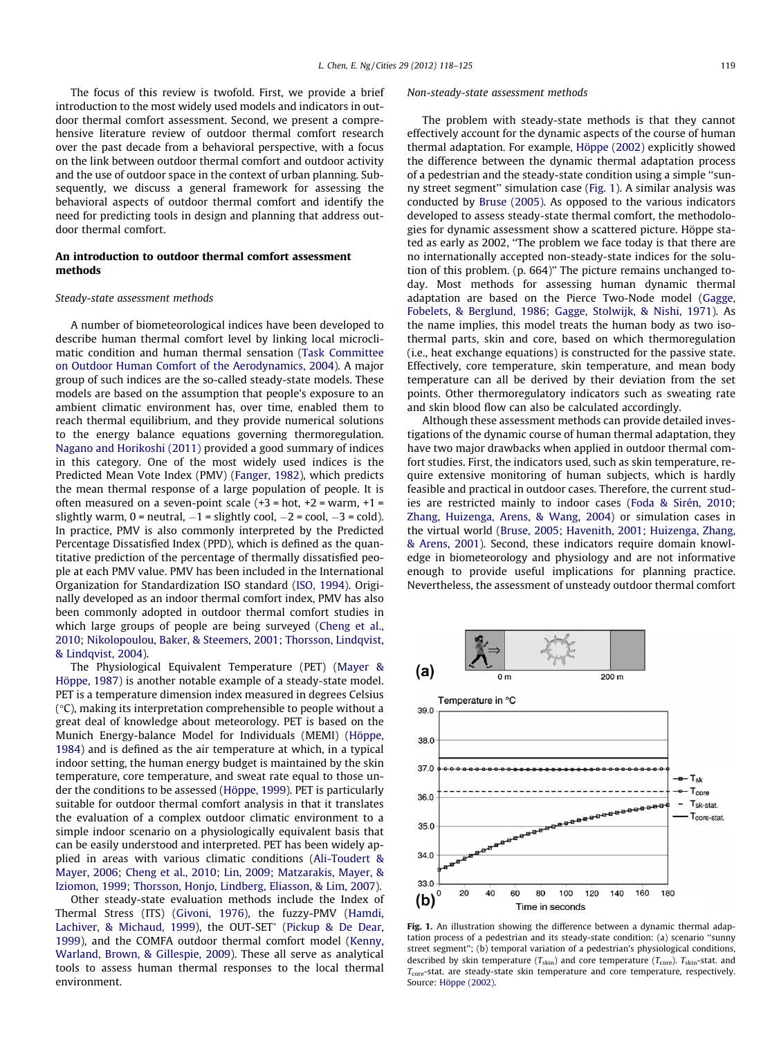The focus of this review is twofold. First, we provide a brief introduction to the most widely used models and indicators in outdoor thermal comfort assessment. Second, we present a comprehensive literature review of outdoor thermal comfort research over the past decade from a behavioral perspective, with a focus on the link between outdoor thermal comfort and outdoor activity and the use of outdoor space in the context of urban planning. Subsequently, we discuss a general framework for assessing the behavioral aspects of outdoor thermal comfort and identify the need for predicting tools in design and planning that address outdoor thermal comfort.

### An introduction to outdoor thermal comfort assessment methods

#### Steady-state assessment methods

A number of biometeorological indices have been developed to describe human thermal comfort level by linking local microclimatic condition and human thermal sensation [\(Task Committee](#page--1-0) [on Outdoor Human Comfort of the Aerodynamics, 2004](#page--1-0)). A major group of such indices are the so-called steady-state models. These models are based on the assumption that people's exposure to an ambient climatic environment has, over time, enabled them to reach thermal equilibrium, and they provide numerical solutions to the energy balance equations governing thermoregulation. [Nagano and Horikoshi \(2011\)](#page--1-0) provided a good summary of indices in this category. One of the most widely used indices is the Predicted Mean Vote Index (PMV) ([Fanger, 1982](#page--1-0)), which predicts the mean thermal response of a large population of people. It is often measured on a seven-point scale  $(+3 = hot, +2 = warm, +1 =$ slightly warm, 0 = neutral,  $-1$  = slightly cool,  $-2$  = cool,  $-3$  = cold). In practice, PMV is also commonly interpreted by the Predicted Percentage Dissatisfied Index (PPD), which is defined as the quantitative prediction of the percentage of thermally dissatisfied people at each PMV value. PMV has been included in the International Organization for Standardization ISO standard ([ISO, 1994\)](#page--1-0). Originally developed as an indoor thermal comfort index, PMV has also been commonly adopted in outdoor thermal comfort studies in which large groups of people are being surveyed [\(Cheng et al.,](#page--1-0) [2010; Nikolopoulou, Baker, & Steemers, 2001; Thorsson, Lindqvist,](#page--1-0) [& Lindqvist, 2004](#page--1-0)).

The Physiological Equivalent Temperature (PET) [\(Mayer &](#page--1-0) [Höppe, 1987\)](#page--1-0) is another notable example of a steady-state model. PET is a temperature dimension index measured in degrees Celsius  $\degree$ C), making its interpretation comprehensible to people without a great deal of knowledge about meteorology. PET is based on the Munich Energy-balance Model for Individuals (MEMI) [\(Höppe,](#page--1-0) [1984\)](#page--1-0) and is defined as the air temperature at which, in a typical indoor setting, the human energy budget is maintained by the skin temperature, core temperature, and sweat rate equal to those under the conditions to be assessed [\(Höppe, 1999\)](#page--1-0). PET is particularly suitable for outdoor thermal comfort analysis in that it translates the evaluation of a complex outdoor climatic environment to a simple indoor scenario on a physiologically equivalent basis that can be easily understood and interpreted. PET has been widely applied in areas with various climatic conditions ([Ali-Toudert &](#page--1-0) [Mayer, 2006; Cheng et al., 2010; Lin, 2009; Matzarakis, Mayer, &](#page--1-0) [Iziomon, 1999; Thorsson, Honjo, Lindberg, Eliasson, & Lim, 2007](#page--1-0)).

Other steady-state evaluation methods include the Index of Thermal Stress (ITS) ([Givoni, 1976\)](#page--1-0), the fuzzy-PMV [\(Hamdi,](#page--1-0) [Lachiver, & Michaud, 1999](#page--1-0)), the OUT-SET\* [\(Pickup & De Dear,](#page--1-0) [1999\)](#page--1-0), and the COMFA outdoor thermal comfort model ([Kenny,](#page--1-0) [Warland, Brown, & Gillespie, 2009](#page--1-0)). These all serve as analytical tools to assess human thermal responses to the local thermal environment.

#### Non-steady-state assessment methods

The problem with steady-state methods is that they cannot effectively account for the dynamic aspects of the course of human thermal adaptation. For example, [Höppe \(2002\)](#page--1-0) explicitly showed the difference between the dynamic thermal adaptation process of a pedestrian and the steady-state condition using a simple ''sunny street segment'' simulation case (Fig. 1). A similar analysis was conducted by [Bruse \(2005\).](#page--1-0) As opposed to the various indicators developed to assess steady-state thermal comfort, the methodologies for dynamic assessment show a scattered picture. Höppe stated as early as 2002, ''The problem we face today is that there are no internationally accepted non-steady-state indices for the solution of this problem. (p. 664)'' The picture remains unchanged today. Most methods for assessing human dynamic thermal adaptation are based on the Pierce Two-Node model ([Gagge,](#page--1-0) [Fobelets, & Berglund, 1986; Gagge, Stolwijk, & Nishi, 1971\)](#page--1-0). As the name implies, this model treats the human body as two isothermal parts, skin and core, based on which thermoregulation (i.e., heat exchange equations) is constructed for the passive state. Effectively, core temperature, skin temperature, and mean body temperature can all be derived by their deviation from the set points. Other thermoregulatory indicators such as sweating rate and skin blood flow can also be calculated accordingly.

Although these assessment methods can provide detailed investigations of the dynamic course of human thermal adaptation, they have two major drawbacks when applied in outdoor thermal comfort studies. First, the indicators used, such as skin temperature, require extensive monitoring of human subjects, which is hardly feasible and practical in outdoor cases. Therefore, the current studies are restricted mainly to indoor cases ([Foda & Sirén, 2010;](#page--1-0) [Zhang, Huizenga, Arens, & Wang, 2004](#page--1-0)) or simulation cases in the virtual world ([Bruse, 2005; Havenith, 2001; Huizenga, Zhang,](#page--1-0) [& Arens, 2001\)](#page--1-0). Second, these indicators require domain knowledge in biometeorology and physiology and are not informative enough to provide useful implications for planning practice. Nevertheless, the assessment of unsteady outdoor thermal comfort



Fig. 1. An illustration showing the difference between a dynamic thermal adaptation process of a pedestrian and its steady-state condition: (a) scenario ''sunny street segment''; (b) temporal variation of a pedestrian's physiological conditions, described by skin temperature ( $T_{\text{skin}}$ ) and core temperature ( $T_{\text{core}}$ ).  $T_{\text{skin}}$ -stat. and  $T_{\text{core}}$ -stat. are steady-state skin temperature and core temperature, respectively. Source: [Höppe \(2002\)](#page--1-0).